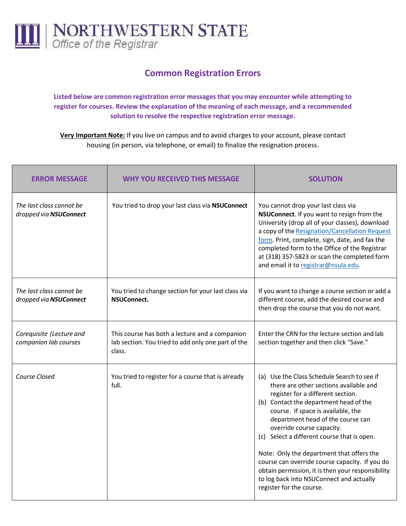

## **Common Registration Errors**

**Listed below are common registration error messages that you may encounter while attempting to register for courses. Review the explanation of the meaning of each message, and a recommended solution to resolve the respective registration error message.**

**Very Important Note:** If you live on campus and to avoid charges to your account, please contact housing (in person, via telephone, or email) to finalize the resignation process.

| <b>ERROR MESSAGE</b>                               | <b>WHY YOU RECEIVED THIS MESSAGE</b>                                                                           | <b>SOLUTION</b>                                                                                                                                                                                                                                                                                                                                                                                                                                                                                                                                         |
|----------------------------------------------------|----------------------------------------------------------------------------------------------------------------|---------------------------------------------------------------------------------------------------------------------------------------------------------------------------------------------------------------------------------------------------------------------------------------------------------------------------------------------------------------------------------------------------------------------------------------------------------------------------------------------------------------------------------------------------------|
| The last class cannot be<br>dropped via NSUConnect | You tried to drop your last class via NSUConnect                                                               | You cannot drop your last class via<br>NSUConnect. If you want to resign from the<br>University (drop all of your classes), download<br>a copy of the Resignation/Cancellation Request<br>form. Print, complete, sign, date, and fax the<br>completed form to the Office of the Registrar<br>at (318) 357-5823 or scan the completed form<br>and email it to registrar@nsula.edu.                                                                                                                                                                       |
| The last class cannot be<br>dropped via NSUConnect | You tried to change section for your last class via<br><b>NSUConnect.</b>                                      | If you want to change a course section or add a<br>different course, add the desired course and<br>then drop the course that you do not want.                                                                                                                                                                                                                                                                                                                                                                                                           |
| Corequisite (Lecture and<br>companion lab courses  | This course has both a lecture and a companion<br>lab section. You tried to add only one part of the<br>class. | Enter the CRN for the lecture section and lab<br>section together and then click "Save."                                                                                                                                                                                                                                                                                                                                                                                                                                                                |
| Course Closed                                      | You tried to register for a course that is already<br>full.                                                    | (a) Use the Class Schedule Search to see if<br>there are other sections available and<br>register for a different section.<br>(b) Contact the department head of the<br>course. If space is available, the<br>department head of the course can<br>override course capacity.<br>(c) Select a different course that is open.<br>Note: Only the department that offers the<br>course can override course capacity. If you do<br>obtain permission, it is then your responsibility<br>to log back into NSUConnect and actually<br>register for the course. |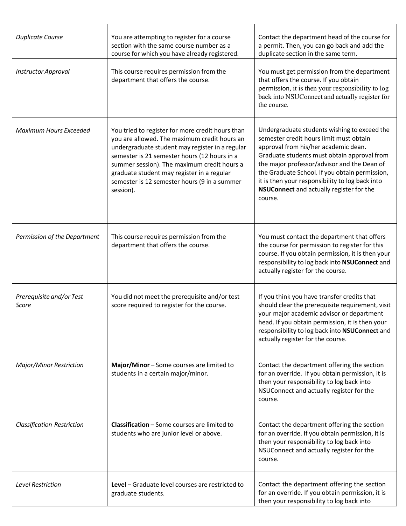| <b>Duplicate Course</b>           | You are attempting to register for a course<br>section with the same course number as a<br>course for which you have already registered.                                                                                                                                                                                                                      | Contact the department head of the course for<br>a permit. Then, you can go back and add the<br>duplicate section in the same term.                                                                                                                                                                                                                                                       |
|-----------------------------------|---------------------------------------------------------------------------------------------------------------------------------------------------------------------------------------------------------------------------------------------------------------------------------------------------------------------------------------------------------------|-------------------------------------------------------------------------------------------------------------------------------------------------------------------------------------------------------------------------------------------------------------------------------------------------------------------------------------------------------------------------------------------|
| <b>Instructor Approval</b>        | This course requires permission from the<br>department that offers the course.                                                                                                                                                                                                                                                                                | You must get permission from the department<br>that offers the course. If you obtain<br>permission, it is then your responsibility to log<br>back into NSUConnect and actually register for<br>the course.                                                                                                                                                                                |
| <b>Maximum Hours Exceeded</b>     | You tried to register for more credit hours than<br>you are allowed. The maximum credit hours an<br>undergraduate student may register in a regular<br>semester is 21 semester hours (12 hours in a<br>summer session). The maximum credit hours a<br>graduate student may register in a regular<br>semester is 12 semester hours (9 in a summer<br>session). | Undergraduate students wishing to exceed the<br>semester credit hours limit must obtain<br>approval from his/her academic dean.<br>Graduate students must obtain approval from<br>the major professor/advisor and the Dean of<br>the Graduate School. If you obtain permission,<br>it is then your responsibility to log back into<br>NSUConnect and actually register for the<br>course. |
| Permission of the Department      | This course requires permission from the<br>department that offers the course.                                                                                                                                                                                                                                                                                | You must contact the department that offers<br>the course for permission to register for this<br>course. If you obtain permission, it is then your<br>responsibility to log back into NSUConnect and<br>actually register for the course.                                                                                                                                                 |
| Prerequisite and/or Test<br>Score | You did not meet the prerequisite and/or test<br>score required to register for the course.                                                                                                                                                                                                                                                                   | If you think you have transfer credits that<br>should clear the prerequisite requirement, visit<br>your major academic advisor or department<br>head. If you obtain permission, it is then your<br>responsibility to log back into NSUConnect and<br>actually register for the course.                                                                                                    |
| Major/Minor Restriction           | Major/Minor - Some courses are limited to<br>students in a certain major/minor.                                                                                                                                                                                                                                                                               | Contact the department offering the section<br>for an override. If you obtain permission, it is<br>then your responsibility to log back into<br>NSUConnect and actually register for the<br>course.                                                                                                                                                                                       |
| <b>Classification Restriction</b> | <b>Classification</b> - Some courses are limited to<br>students who are junior level or above.                                                                                                                                                                                                                                                                | Contact the department offering the section<br>for an override. If you obtain permission, it is<br>then your responsibility to log back into<br>NSUConnect and actually register for the<br>course.                                                                                                                                                                                       |
| <b>Level Restriction</b>          | Level - Graduate level courses are restricted to<br>graduate students.                                                                                                                                                                                                                                                                                        | Contact the department offering the section<br>for an override. If you obtain permission, it is<br>then your responsibility to log back into                                                                                                                                                                                                                                              |